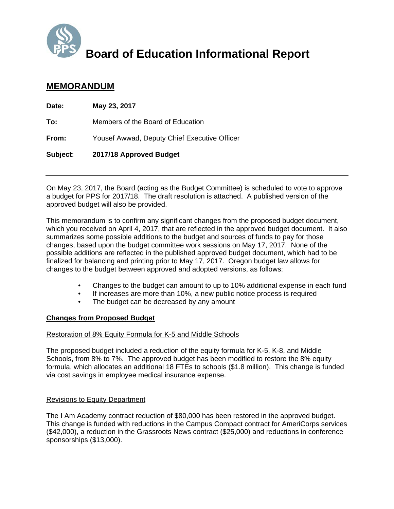

# **Board of Education Informational Report**

# **MEMORANDUM**

| Date:    | May 23, 2017                                 |
|----------|----------------------------------------------|
| To:      | Members of the Board of Education            |
| From:    | Yousef Awwad, Deputy Chief Executive Officer |
| Subject: | 2017/18 Approved Budget                      |

On May 23, 2017, the Board (acting as the Budget Committee) is scheduled to vote to approve a budget for PPS for 2017/18. The draft resolution is attached. A published version of the approved budget will also be provided.

This memorandum is to confirm any significant changes from the proposed budget document, which you received on April 4, 2017, that are reflected in the approved budget document. It also summarizes some possible additions to the budget and sources of funds to pay for those changes, based upon the budget committee work sessions on May 17, 2017. None of the possible additions are reflected in the published approved budget document, which had to be finalized for balancing and printing prior to May 17, 2017. Oregon budget law allows for changes to the budget between approved and adopted versions, as follows:

- Changes to the budget can amount to up to 10% additional expense in each fund
- If increases are more than 10%, a new public notice process is required
- The budget can be decreased by any amount

### **Changes from Proposed Budget**

#### Restoration of 8% Equity Formula for K-5 and Middle Schools

The proposed budget included a reduction of the equity formula for K-5, K-8, and Middle Schools, from 8% to 7%. The approved budget has been modified to restore the 8% equity formula, which allocates an additional 18 FTEs to schools (\$1.8 million). This change is funded via cost savings in employee medical insurance expense.

#### Revisions to Equity Department

The I Am Academy contract reduction of \$80,000 has been restored in the approved budget. This change is funded with reductions in the Campus Compact contract for AmeriCorps services (\$42,000), a reduction in the Grassroots News contract (\$25,000) and reductions in conference sponsorships (\$13,000).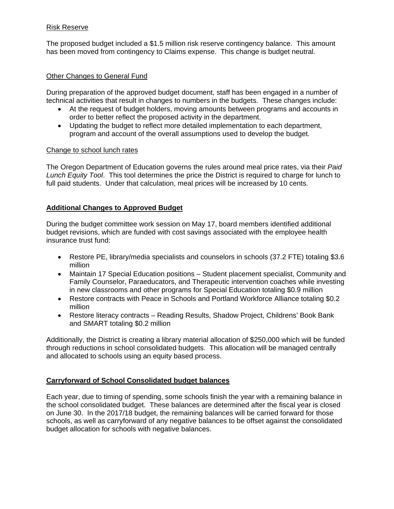#### Risk Reserve

The proposed budget included a \$1.5 million risk reserve contingency balance. This amount has been moved from contingency to Claims expense. This change is budget neutral.

#### Other Changes to General Fund

During preparation of the approved budget document, staff has been engaged in a number of technical activities that result in changes to numbers in the budgets. These changes include:

- At the request of budget holders, moving amounts between programs and accounts in order to better reflect the proposed activity in the department.
- Updating the budget to reflect more detailed implementation to each department, program and account of the overall assumptions used to develop the budget.

#### Change to school lunch rates

The Oregon Department of Education governs the rules around meal price rates, via their *Paid Lunch Equity Tool*. This tool determines the price the District is required to charge for lunch to full paid students. Under that calculation, meal prices will be increased by 10 cents.

#### **Additional Changes to Approved Budget**

During the budget committee work session on May 17, board members identified additional budget revisions, which are funded with cost savings associated with the employee health insurance trust fund:

- Restore PE, library/media specialists and counselors in schools (37.2 FTE) totaling \$3.6 million
- Maintain 17 Special Education positions Student placement specialist, Community and Family Counselor, Paraeducators, and Therapeutic intervention coaches while investing in new classrooms and other programs for Special Education totaling \$0.9 million
- Restore contracts with Peace in Schools and Portland Workforce Alliance totaling \$0.2 million
- Restore literacy contracts Reading Results, Shadow Project, Childrens' Book Bank and SMART totaling \$0.2 million

Additionally, the District is creating a library material allocation of \$250,000 which will be funded through reductions in school consolidated budgets. This allocation will be managed centrally and allocated to schools using an equity based process.

#### **Carryforward of School Consolidated budget balances**

Each year, due to timing of spending, some schools finish the year with a remaining balance in the school consolidated budget. These balances are determined after the fiscal year is closed on June 30. In the 2017/18 budget, the remaining balances will be carried forward for those schools, as well as carryforward of any negative balances to be offset against the consolidated budget allocation for schools with negative balances.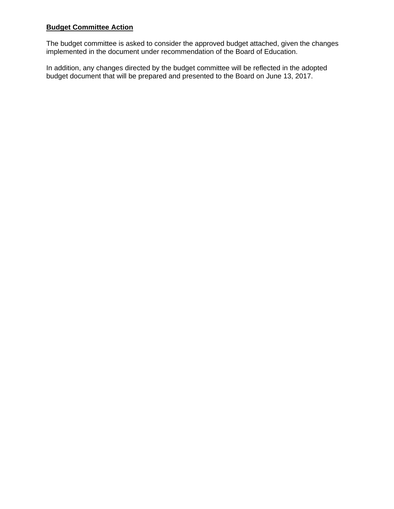## **Budget Committee Action**

The budget committee is asked to consider the approved budget attached, given the changes implemented in the document under recommendation of the Board of Education.

In addition, any changes directed by the budget committee will be reflected in the adopted budget document that will be prepared and presented to the Board on June 13, 2017.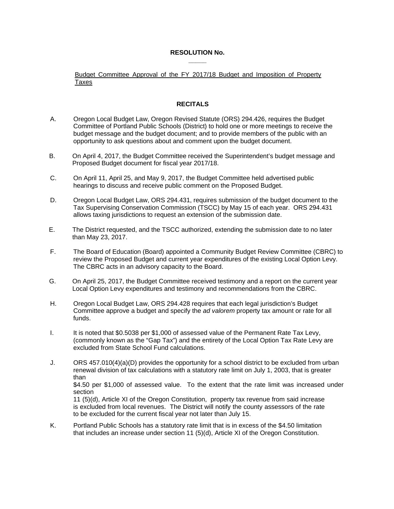#### **RESOLUTION No. \_\_\_\_\_**

Budget Committee Approval of the FY 2017/18 Budget and Imposition of Property Taxes

#### **RECITALS**

- A. Oregon Local Budget Law, Oregon Revised Statute (ORS) 294.426, requires the Budget Committee of Portland Public Schools (District) to hold one or more meetings to receive the budget message and the budget document; and to provide members of the public with an opportunity to ask questions about and comment upon the budget document.
- B. On April 4, 2017, the Budget Committee received the Superintendent's budget message and Proposed Budget document for fiscal year 2017/18.
- C. On April 11, April 25, and May 9, 2017, the Budget Committee held advertised public hearings to discuss and receive public comment on the Proposed Budget.
- D. Oregon Local Budget Law, ORS 294.431, requires submission of the budget document to the Tax Supervising Conservation Commission (TSCC) by May 15 of each year. ORS 294.431 allows taxing jurisdictions to request an extension of the submission date.
- E. The District requested, and the TSCC authorized, extending the submission date to no later than May 23, 2017.
- F. The Board of Education (Board) appointed a Community Budget Review Committee (CBRC) to review the Proposed Budget and current year expenditures of the existing Local Option Levy. The CBRC acts in an advisory capacity to the Board.
- G. On April 25, 2017, the Budget Committee received testimony and a report on the current year Local Option Levy expenditures and testimony and recommendations from the CBRC.
- H. Oregon Local Budget Law, ORS 294.428 requires that each legal jurisdiction's Budget Committee approve a budget and specify the *ad valorem* property tax amount or rate for all funds.
- I. It is noted that \$0.5038 per \$1,000 of assessed value of the Permanent Rate Tax Levy, (commonly known as the "Gap Tax") and the entirety of the Local Option Tax Rate Levy are excluded from State School Fund calculations.
- J. ORS 457.010(4)(a)(D) provides the opportunity for a school district to be excluded from urban renewal division of tax calculations with a statutory rate limit on July 1, 2003, that is greater than \$4.50 per \$1,000 of assessed value. To the extent that the rate limit was increased under section 11 (5)(d), Article XI of the Oregon Constitution, property tax revenue from said increase is excluded from local revenues. The District will notify the county assessors of the rate to be excluded for the current fiscal year not later than July 15.
- K. Portland Public Schools has a statutory rate limit that is in excess of the \$4.50 limitation that includes an increase under section 11 (5)(d), Article XI of the Oregon Constitution.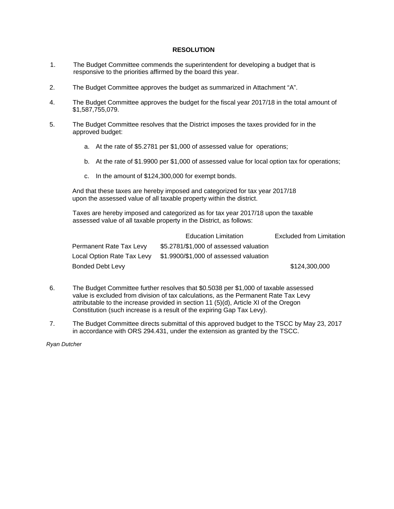#### **RESOLUTION**

- 1. The Budget Committee commends the superintendent for developing a budget that is responsive to the priorities affirmed by the board this year.
- 2. The Budget Committee approves the budget as summarized in Attachment "A".
- 4. The Budget Committee approves the budget for the fiscal year 2017/18 in the total amount of \$1,587,755,079.
- 5. The Budget Committee resolves that the District imposes the taxes provided for in the approved budget:
	- a. At the rate of \$5.2781 per \$1,000 of assessed value for operations;
	- b. At the rate of \$1.9900 per \$1,000 of assessed value for local option tax for operations;
	- c. In the amount of \$124,300,000 for exempt bonds.

And that these taxes are hereby imposed and categorized for tax year 2017/18 upon the assessed value of all taxable property within the district.

Taxes are hereby imposed and categorized as for tax year 2017/18 upon the taxable assessed value of all taxable property in the District, as follows:

|                         | <b>Education Limitation</b>                                       | <b>Excluded from Limitation</b> |
|-------------------------|-------------------------------------------------------------------|---------------------------------|
| Permanent Rate Tax Levy | \$5.2781/\$1,000 of assessed valuation                            |                                 |
|                         | Local Option Rate Tax Levy \$1.9900/\$1,000 of assessed valuation |                                 |
| Bonded Debt Levy        |                                                                   | \$124,300,000                   |

- 6. The Budget Committee further resolves that \$0.5038 per \$1,000 of taxable assessed value is excluded from division of tax calculations, as the Permanent Rate Tax Levy attributable to the increase provided in section 11 (5)(d), Article XI of the Oregon Constitution (such increase is a result of the expiring Gap Tax Levy).
- 7. The Budget Committee directs submittal of this approved budget to the TSCC by May 23, 2017 in accordance with ORS 294.431, under the extension as granted by the TSCC.

*Ryan Dutcher*